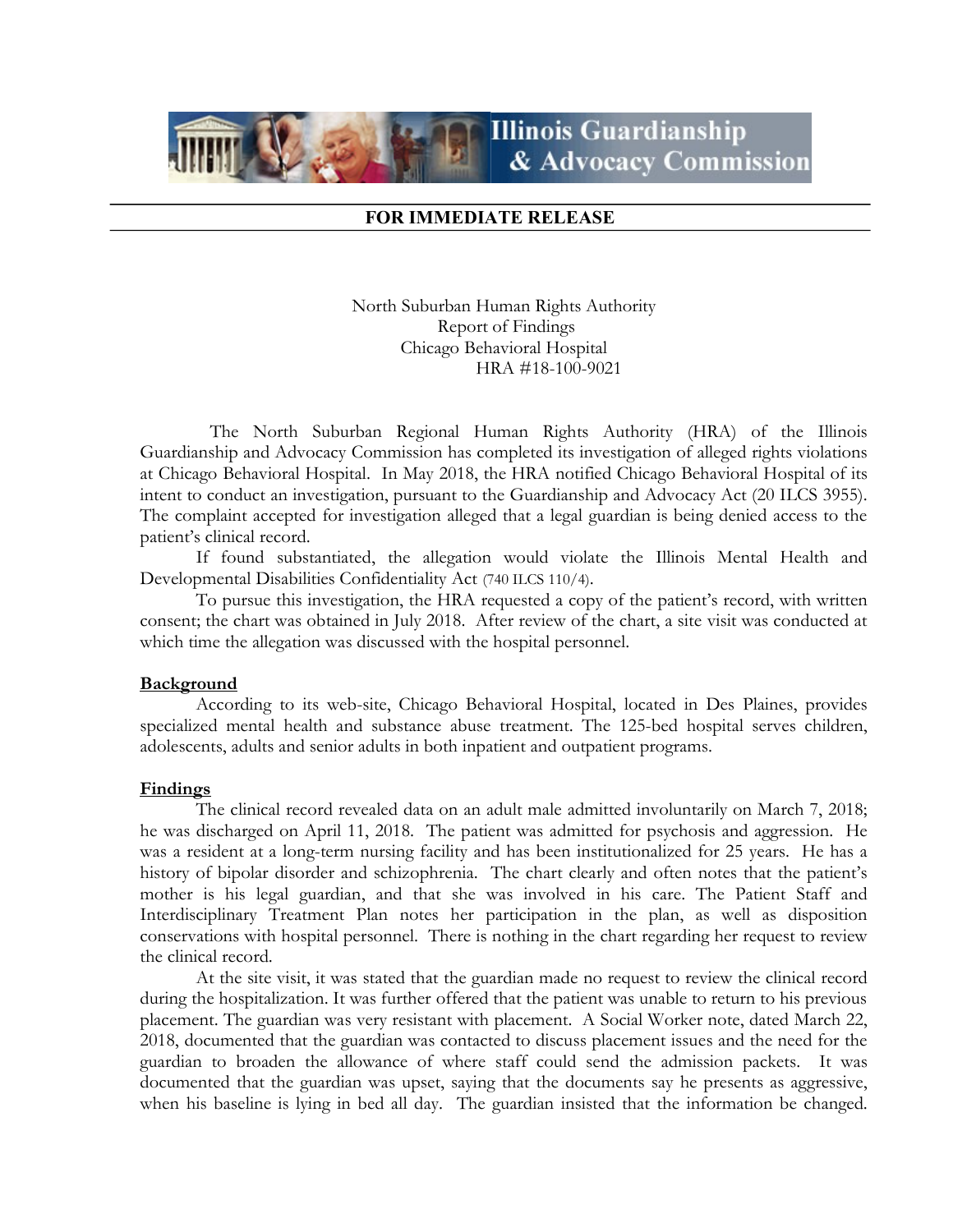

## FOR IMMEDIATE RELEASE

North Suburban Human Rights Authority Report of Findings Chicago Behavioral Hospital HRA #18-100-9021

 The North Suburban Regional Human Rights Authority (HRA) of the Illinois Guardianship and Advocacy Commission has completed its investigation of alleged rights violations at Chicago Behavioral Hospital. In May 2018, the HRA notified Chicago Behavioral Hospital of its intent to conduct an investigation, pursuant to the Guardianship and Advocacy Act (20 ILCS 3955). The complaint accepted for investigation alleged that a legal guardian is being denied access to the patient's clinical record.

If found substantiated, the allegation would violate the Illinois Mental Health and Developmental Disabilities Confidentiality Act (740 ILCS 110/4).

To pursue this investigation, the HRA requested a copy of the patient's record, with written consent; the chart was obtained in July 2018. After review of the chart, a site visit was conducted at which time the allegation was discussed with the hospital personnel.

## Background

According to its web-site, Chicago Behavioral Hospital, located in Des Plaines, provides specialized mental health and substance abuse treatment. The 125-bed hospital serves children, adolescents, adults and senior adults in both inpatient and outpatient programs.

## Findings

The clinical record revealed data on an adult male admitted involuntarily on March 7, 2018; he was discharged on April 11, 2018. The patient was admitted for psychosis and aggression. He was a resident at a long-term nursing facility and has been institutionalized for 25 years. He has a history of bipolar disorder and schizophrenia. The chart clearly and often notes that the patient's mother is his legal guardian, and that she was involved in his care. The Patient Staff and Interdisciplinary Treatment Plan notes her participation in the plan, as well as disposition conservations with hospital personnel. There is nothing in the chart regarding her request to review the clinical record.

 At the site visit, it was stated that the guardian made no request to review the clinical record during the hospitalization. It was further offered that the patient was unable to return to his previous placement. The guardian was very resistant with placement. A Social Worker note, dated March 22, 2018, documented that the guardian was contacted to discuss placement issues and the need for the guardian to broaden the allowance of where staff could send the admission packets. It was documented that the guardian was upset, saying that the documents say he presents as aggressive, when his baseline is lying in bed all day. The guardian insisted that the information be changed.